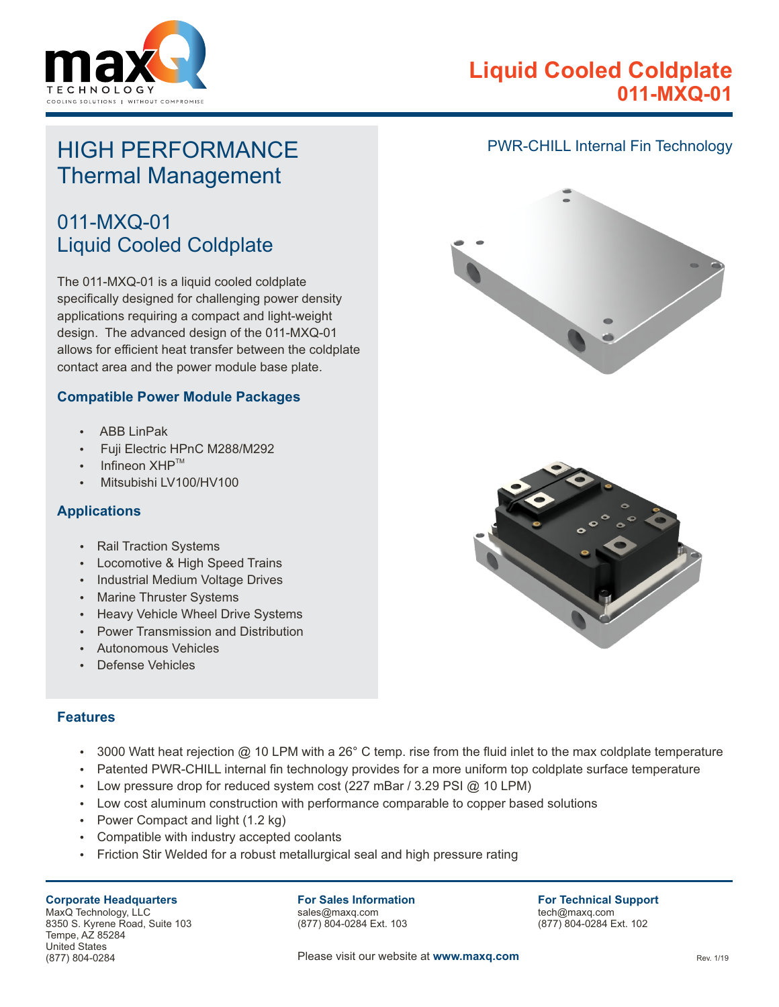

# **Liquid Cooled Coldplate 011-MXQ-01**

# HIGH PERFORMANCE Thermal Management

# 011-MXQ-01 Liquid Cooled Coldplate

The 011-MXQ-01 is a liquid cooled coldplate specifically designed for challenging power density applications requiring a compact and light-weight design. The advanced design of the 011-MXQ-01 allows for efficient heat transfer between the coldplate contact area and the power module base plate.

### **Compatible Power Module Packages**

- ABB LinPak
- Fuji Electric HPnC M288/M292
- Infineon  $XHP^{TM}$
- Mitsubishi LV100/HV100

### **Applications**

- Rail Traction Systems
- Locomotive & High Speed Trains
- Industrial Medium Voltage Drives
- Marine Thruster Systems
- Heavy Vehicle Wheel Drive Systems
- Power Transmission and Distribution
- Autonomous Vehicles
- Defense Vehicles

### **Features**

- 3000 Watt heat rejection @ 10 LPM with a 26 $^{\circ}$  C temp. rise from the fluid inlet to the max coldplate temperature
- Patented PWR-CHILL internal fin technology provides for a more uniform top coldplate surface temperature
- Low pressure drop for reduced system cost (227 mBar / 3.29 PSI @ 10 LPM)
- Low cost aluminum construction with performance comparable to copper based solutions
- Power Compact and light  $(1.2 \text{ kg})$
- Compatible with industry accepted coolants
- Friction Stir Welded for a robust metallurgical seal and high pressure rating

#### **Corporate Headquarters**

MaxQ Technology, LLC 8350 S. Kyrene Road, Suite 103 Tempe, AZ 85284 United States (877) 804-0284

#### **For Sales Information** sales@maxq.com

(877) 804-0284 Ext. 103

**For Technical Support** tech@maxq.com (877) 804-0284 Ext. 102